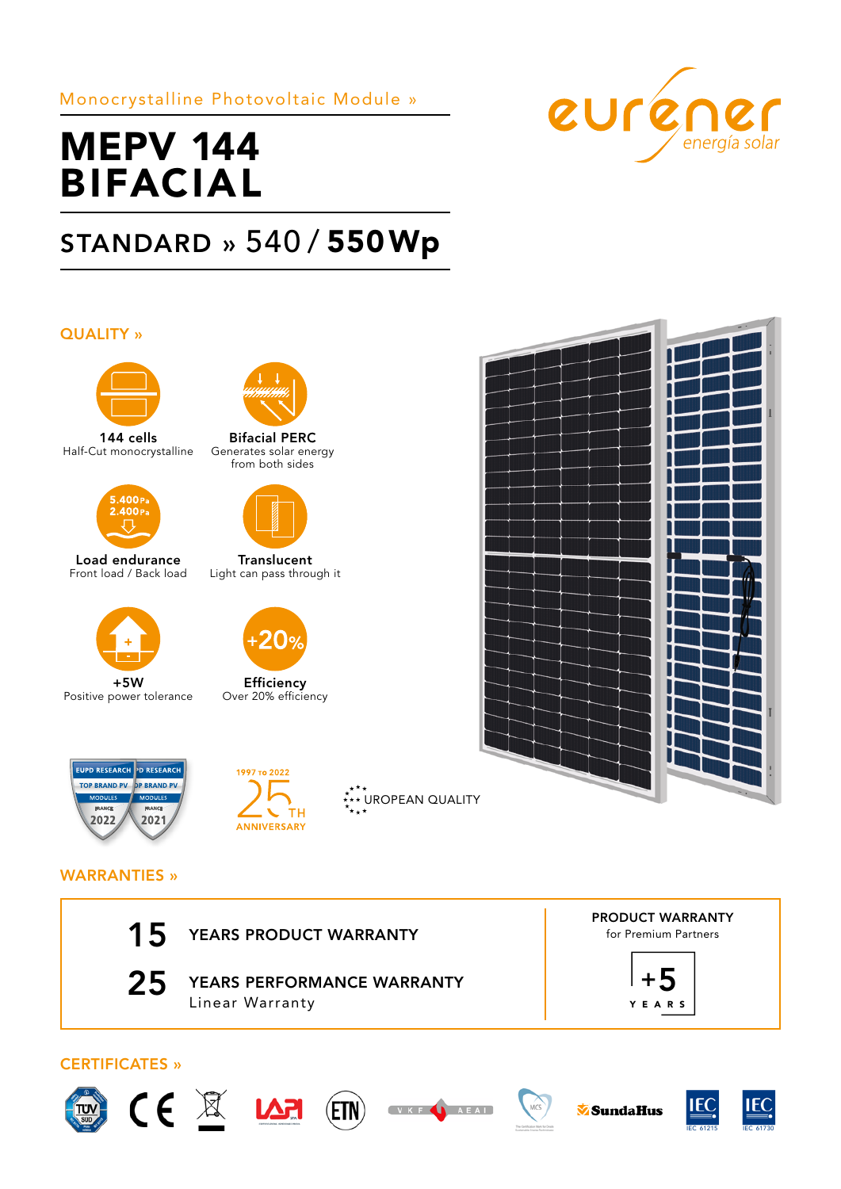Monocrystalline Photovoltaic Module »



# MEPV 144 BIFACIAL

## STANDARD » 540 / 550Wp

## QUALITY »



144 cells Half-Cut monocrystalline



Load endurance Front load / Back load



+5W Positive power tolerance





Translucent Light can pass through it



Efficiency Over 20% efficiency





\*<sup>\*</sup>\*\* UROPEAN QUALITY



## WARRANTIES »

| 15                    | YEARS PRODUCT WARRANTY                        | <b>PRODUCT WARRANTY</b><br>for Premium Partners |  |  |
|-----------------------|-----------------------------------------------|-------------------------------------------------|--|--|
| 25                    | YEARS PERFORMANCE WARRANTY<br>Linear Warranty | <b>YEARS</b>                                    |  |  |
| <b>CERTIFICATES »</b> |                                               |                                                 |  |  |







(ETN)